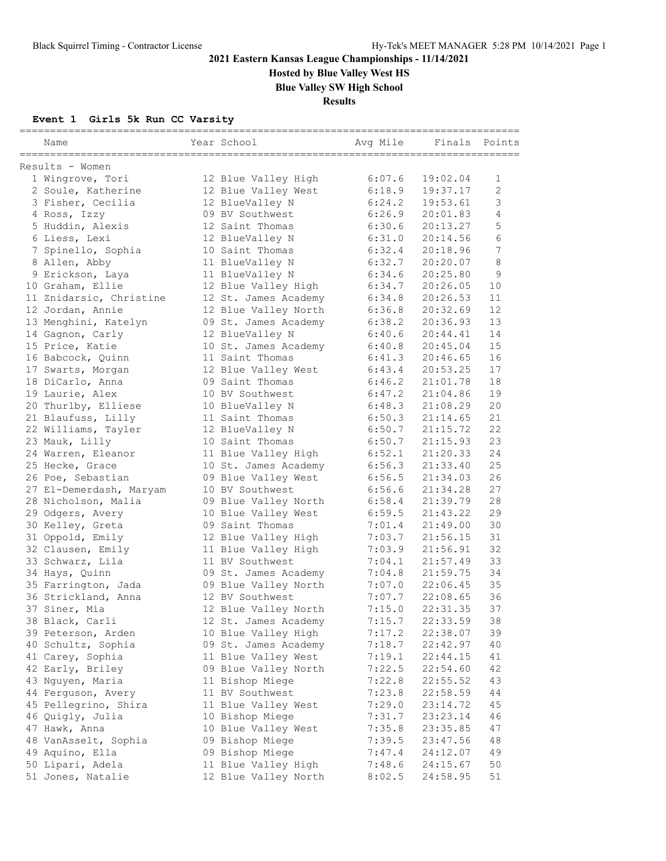**Hosted by Blue Valley West HS**

**Blue Valley SW High School**

**Results**

### **Event 1 Girls 5k Run CC Varsity**

| Name                                 | Year School                        | Avg Mile         | Finals               | Points           |
|--------------------------------------|------------------------------------|------------------|----------------------|------------------|
| Results - Women                      |                                    |                  |                      |                  |
| 1 Wingrove, Tori                     | 12 Blue Valley High                | 6:07.6           | 19:02.04             | $\mathbf{1}$     |
| 2 Soule, Katherine                   | 12 Blue Valley West                | 6:18.9           | 19:37.17             | $\overline{2}$   |
| 3 Fisher, Cecilia                    | 12 BlueValley N                    | 6:24.2           | 19:53.61             | 3                |
| 4 Ross, Izzy                         | 09 BV Southwest                    | 6:26.9           | 20:01.83             | 4                |
| 5 Huddin, Alexis                     | 12 Saint Thomas                    | 6:30.6           | 20:13.27             | 5                |
| 6 Liess, Lexi                        | 12 BlueValley N                    | 6:31.0           | 20:14.56             | 6                |
| 7 Spinello, Sophia                   | 10 Saint Thomas                    | 6:32.4           | 20:18.96             | $\boldsymbol{7}$ |
| 8 Allen, Abby                        | 11 BlueValley N                    | 6:32.7           | 20:20.07             | 8                |
| 9 Erickson, Laya                     | 11 BlueValley N                    | 6:34.6           | 20:25.80             | 9                |
| 10 Graham, Ellie                     | 12 Blue Valley High                | 6:34.7           | 20:26.05             | 10               |
| 11 Znidarsic, Christine              | 12 St. James Academy               | 6:34.8           | 20:26.53             | 11               |
| 12 Jordan, Annie                     | 12 Blue Valley North               | 6:36.8           | 20:32.69             | 12               |
| 13 Menghini, Katelyn                 | 09 St. James Academy               | 6:38.2           | 20:36.93             | 13               |
| 14 Gagnon, Carly                     | 12 BlueValley N                    | 6:40.6           | 20:44.41             | 14               |
| 15 Price, Katie                      | 10 St. James Academy               | 6:40.8           | 20:45.04             | 15               |
| 16 Babcock, Quinn                    | 11 Saint Thomas                    | 6:41.3           | 20:46.65             | 16               |
| 17 Swarts, Morgan                    | 12 Blue Valley West                | 6:43.4           | 20:53.25             | 17               |
| 18 DiCarlo, Anna                     | 09 Saint Thomas                    | 6:46.2           | 21:01.78             | 18               |
| 19 Laurie, Alex                      | 10 BV Southwest                    | 6:47.2           | 21:04.86             | 19               |
| 20 Thurlby, Elliese                  | 10 BlueValley N                    | 6:48.3           | 21:08.29             | 20               |
| 21 Blaufuss, Lilly                   | 11 Saint Thomas                    | 6:50.3           | 21:14.65             | 21               |
| 22 Williams, Tayler                  | 12 BlueValley N                    | 6:50.7           | 21:15.72             | 22               |
| 23 Mauk, Lilly                       | 10 Saint Thomas                    | 6:50.7           | 21:15.93             | 23               |
| 24 Warren, Eleanor                   | 11 Blue Valley High                | 6:52.1           | 21:20.33             | 24               |
| 25 Hecke, Grace                      | 10 St. James Academy               | 6:56.3           | 21:33.40             | 25               |
| 26 Poe, Sebastian                    | 09 Blue Valley West                | 6:56.5           | 21:34.03             | 26               |
| 27 El-Demerdash, Maryam              | 10 BV Southwest                    | 6:56.6           | 21:34.28             | 27               |
| 28 Nicholson, Malia                  | 09 Blue Valley North               | 6:58.4           | 21:39.79             | 28               |
| 29 Odgers, Avery                     | 10 Blue Valley West                | 6:59.5           | 21:43.22             | 29               |
| 30 Kelley, Greta                     | 09 Saint Thomas                    | 7:01.4           | 21:49.00             | 30               |
| 31 Oppold, Emily                     | 12 Blue Valley High                | 7:03.7           | 21:56.15             | 31               |
| 32 Clausen, Emily                    | 11 Blue Valley High                | 7:03.9           | 21:56.91             | 32               |
| 33 Schwarz, Lila                     | 11 BV Southwest                    | 7:04.1           | 21:57.49             | 33               |
| 34 Hays, Quinn                       | 09 St. James Academy               | 7:04.8           | 21:59.75             | 34               |
| 35 Farrington, Jada                  | 09 Blue Valley North               | 7:07.0           | 22:06.45             | 35               |
| 36 Strickland, Anna                  | 12 BV Southwest                    | 7:07.7           | 22:08.65             | 36               |
| 37 Siner, Mia                        | 12 Blue Valley North               | 7:15.0           | 22:31.35             | 37               |
| 38 Black, Carli                      | 12 St. James Academy               | 7:15.7           | 22:33.59             | 38               |
| 39 Peterson, Arden                   | 10 Blue Valley High                | 7:17.2           | 22:38.07             | 39               |
| 40 Schultz, Sophia                   | 09 St. James Academy               | 7:18.7           | 22:42.97             | 40               |
| 41 Carey, Sophia<br>42 Early, Briley | 11 Blue Valley West                | 7:19.1           | 22:44.15             | 41<br>42         |
| 43 Nguyen, Maria                     | 09 Blue Valley North               | 7:22.5           | 22:54.60             | 43               |
| 44 Ferguson, Avery                   | 11 Bishop Miege<br>11 BV Southwest | 7:22.8<br>7:23.8 | 22:55.52<br>22:58.59 | 44               |
| 45 Pellegrino, Shira                 | 11 Blue Valley West                | 7:29.0           | 23:14.72             | 45               |
| 46 Quigly, Julia                     | 10 Bishop Miege                    | 7:31.7           | 23:23.14             | 46               |
| 47 Hawk, Anna                        | 10 Blue Valley West                | 7:35.8           | 23:35.85             | 47               |
| 48 VanAsselt, Sophia                 | 09 Bishop Miege                    | 7:39.5           | 23:47.56             | 48               |
| 49 Aquino, Ella                      | 09 Bishop Miege                    | 7:47.4           | 24:12.07             | 49               |
| 50 Lipari, Adela                     | 11 Blue Valley High                | 7:48.6           | 24:15.67             | 50               |
| 51 Jones, Natalie                    | 12 Blue Valley North               | 8:02.5           | 24:58.95             | 51               |
|                                      |                                    |                  |                      |                  |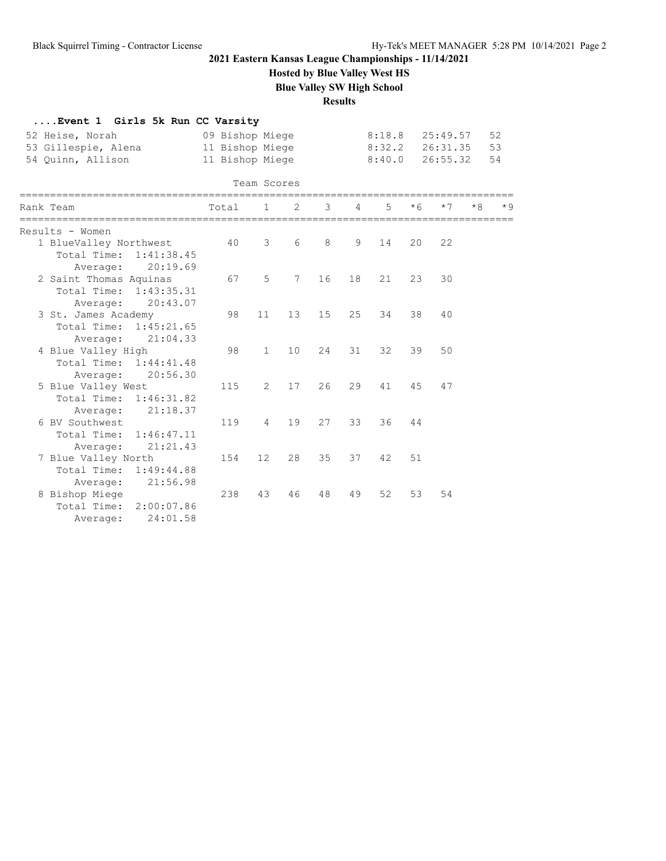**Hosted by Blue Valley West HS**

**Blue Valley SW High School**

### **Results**

| Event 1 Girls 5k Run CC Varsity |                 |                 |                 |    |                |        |      |          |      |      |  |
|---------------------------------|-----------------|-----------------|-----------------|----|----------------|--------|------|----------|------|------|--|
| 52 Heise, Norah                 | 09 Bishop Miege |                 |                 |    |                | 8:18.8 |      | 25:49.57 |      | 52   |  |
| 53 Gillespie, Alena             | 11 Bishop Miege |                 |                 |    |                | 8:32.2 |      | 26:31.35 |      | 53   |  |
| 54 Quinn, Allison               | 11 Bishop Miege |                 |                 |    |                | 8:40.0 |      | 26:55.32 |      | 54   |  |
|                                 |                 |                 |                 |    |                |        |      |          |      |      |  |
| ========                        |                 | Team Scores     |                 |    |                |        |      |          |      |      |  |
| Rank Team                       | Total           | $\mathbf{1}$    | 2               | 3  | $\overline{4}$ | 5      | $*6$ | $*7$     | $*8$ | $*9$ |  |
| Results - Women                 |                 |                 |                 |    |                |        |      |          |      |      |  |
| 1 BlueValley Northwest          | 40              | 3               | 6               | 8  | 9              | 14     | 20   | 22       |      |      |  |
| Total Time: 1:41:38.45          |                 |                 |                 |    |                |        |      |          |      |      |  |
| 20:19.69<br>Average:            |                 |                 |                 |    |                |        |      |          |      |      |  |
| 2 Saint Thomas Aquinas          | 67              | 5               | $7\phantom{.0}$ | 16 | 18             | 21     | 23   | 30       |      |      |  |
| Total Time:<br>1:43:35.31       |                 |                 |                 |    |                |        |      |          |      |      |  |
| 20:43.07<br>Average:            |                 |                 |                 |    |                |        |      |          |      |      |  |
| 3 St. James Academy             | 98              | 11              | 13              | 15 | 25             | 34     | 38   | 40       |      |      |  |
| Total Time: 1:45:21.65          |                 |                 |                 |    |                |        |      |          |      |      |  |
| 21:04.33<br>Average:            |                 |                 |                 |    |                |        |      |          |      |      |  |
| 4 Blue Valley High              | 98              | $\mathbf{1}$    | 10              | 24 | 31             | 32     | 39   | 50       |      |      |  |
| Total Time: 1:44:41.48          |                 |                 |                 |    |                |        |      |          |      |      |  |
| 20:56.30<br>Average:            |                 |                 |                 |    |                |        |      |          |      |      |  |
| 5 Blue Valley West              | 115             | $\overline{2}$  | 17              | 26 | 29             | 41     | 45   | 47       |      |      |  |
| Total Time: 1:46:31.82          |                 |                 |                 |    |                |        |      |          |      |      |  |
| 21:18.37<br>Average:            |                 |                 |                 |    |                |        |      |          |      |      |  |
| 6 BV Southwest                  | 119             | $\overline{4}$  | 19              | 27 | 33             | 36     | 44   |          |      |      |  |
| 1:46:47.11<br>Total Time:       |                 |                 |                 |    |                |        |      |          |      |      |  |
| 21:21.43<br>Average:            |                 |                 |                 |    |                |        |      |          |      |      |  |
| 7 Blue Valley North             | 154             | 12 <sup>°</sup> | 28              | 35 | 37             | 42     | 51   |          |      |      |  |
| Total Time:<br>1:49:44.88       |                 |                 |                 |    |                |        |      |          |      |      |  |
| 21:56.98<br>Average:            |                 |                 |                 |    |                |        |      |          |      |      |  |
| 8 Bishop Miege                  | 238             | 43              | 46              | 48 | 49             | 52     | 53   | 54       |      |      |  |
| Total Time: 2:00:07.86          |                 |                 |                 |    |                |        |      |          |      |      |  |
| 24:01.58<br>Average:            |                 |                 |                 |    |                |        |      |          |      |      |  |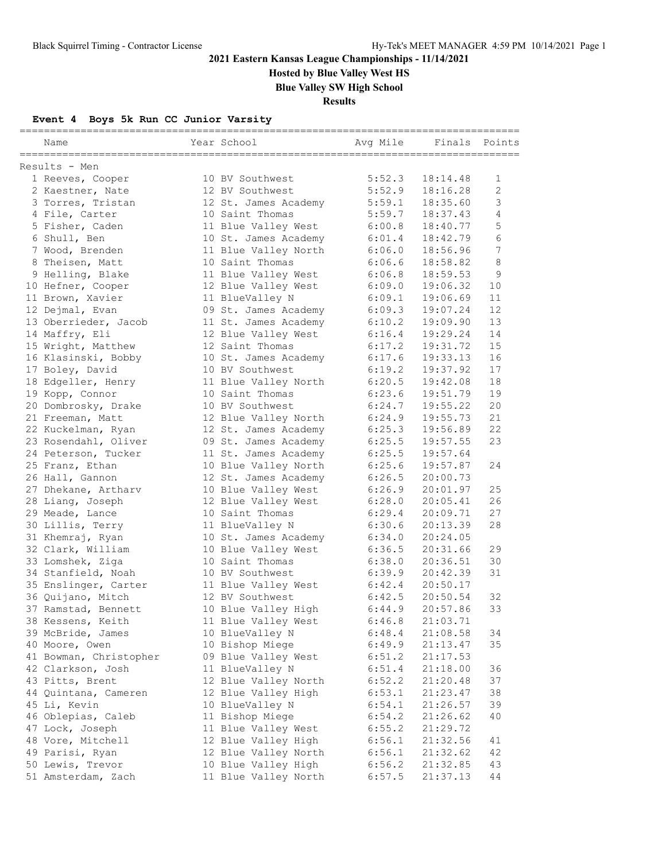**Hosted by Blue Valley West HS**

**Blue Valley SW High School**

**Results**

### **Event 4 Boys 5k Run CC Junior Varsity**

| Name                                     | Year School                            | Avg Mile         | Finals               | Points           |
|------------------------------------------|----------------------------------------|------------------|----------------------|------------------|
| Results - Men                            |                                        |                  |                      |                  |
| 1 Reeves, Cooper                         | 10 BV Southwest                        | 5:52.3           | 18:14.48             | 1                |
| 2 Kaestner, Nate                         | 12 BV Southwest                        | 5:52.9           | 18:16.28             | $\overline{2}$   |
| 3 Torres, Tristan                        | 12 St. James Academy                   | 5:59.1           | 18:35.60             | 3                |
| 4 File, Carter                           | 10 Saint Thomas                        | 5:59.7           | 18:37.43             | 4                |
| 5 Fisher, Caden                          | 11 Blue Valley West                    | 6:00.8           | 18:40.77             | 5                |
| 6 Shull, Ben                             | 10 St. James Academy                   | 6:01.4           | 18:42.79             | 6                |
| 7 Wood, Brenden                          | 11 Blue Valley North                   | 6:06.0           | 18:56.96             | $\boldsymbol{7}$ |
| 8 Theisen, Matt                          | 10 Saint Thomas                        | 6:06.6           | 18:58.82             | 8                |
| 9 Helling, Blake                         | 11 Blue Valley West                    | 6:06.8           | 18:59.53             | 9                |
| 10 Hefner, Cooper                        | 12 Blue Valley West                    | 6:09.0           | 19:06.32             | 10               |
| 11 Brown, Xavier                         | 11 BlueValley N                        | 6:09.1           | 19:06.69             | 11               |
| 12 Dejmal, Evan                          | 09 St. James Academy                   | 6:09.3           | 19:07.24             | 12               |
| 13 Oberrieder, Jacob                     | 11 St. James Academy                   | 6:10.2           | 19:09.90             | 13               |
| 14 Maffry, Eli                           | 12 Blue Valley West                    | 6:16.4           | 19:29.24             | 14               |
| 15 Wright, Matthew                       | 12 Saint Thomas                        | 6:17.2           | 19:31.72             | 15               |
| 16 Klasinski, Bobby                      | 10 St. James Academy                   | 6:17.6           | 19:33.13             | 16               |
| 17 Boley, David                          | 10 BV Southwest                        | 6:19.2           | 19:37.92             | 17               |
| 18 Edgeller, Henry                       | 11 Blue Valley North                   | 6:20.5           | 19:42.08             | 18               |
| 19 Kopp, Connor                          | 10 Saint Thomas                        | 6:23.6           | 19:51.79             | 19               |
| 20 Dombrosky, Drake                      | 10 BV Southwest                        | 6:24.7           | 19:55.22             | 20               |
| 21 Freeman, Matt                         | 12 Blue Valley North                   | 6:24.9           | 19:55.73             | 21               |
| 22 Kuckelman, Ryan                       | 12 St. James Academy                   | 6:25.3           | 19:56.89             | 22               |
| 23 Rosendahl, Oliver                     | 09 St. James Academy                   | 6:25.5           | 19:57.55             | 23               |
| 24 Peterson, Tucker                      | 11 St. James Academy                   | 6:25.5           | 19:57.64             |                  |
| 25 Franz, Ethan                          | 10 Blue Valley North                   | 6:25.6           | 19:57.87             | 24               |
| 26 Hall, Gannon                          | 12 St. James Academy                   | 6:26.5           | 20:00.73             |                  |
| 27 Dhekane, Artharv                      | 10 Blue Valley West                    | 6:26.9           | 20:01.97             | 25               |
| 28 Liang, Joseph                         | 12 Blue Valley West                    | 6:28.0           | 20:05.41             | 26               |
| 29 Meade, Lance                          | 10 Saint Thomas                        | 6:29.4           | 20:09.71             | 27               |
| 30 Lillis, Terry                         | 11 BlueValley N                        | 6:30.6           | 20:13.39             | 28               |
| 31 Khemraj, Ryan                         | 10 St. James Academy                   | 6:34.0           | 20:24.05             |                  |
| 32 Clark, William                        | 10 Blue Valley West                    | 6:36.5           | 20:31.66             | 29               |
| 33 Lomshek, Ziga                         | 10 Saint Thomas                        | 6:38.0           | 20:36.51             | 30               |
| 34 Stanfield, Noah                       | 10 BV Southwest                        | 6:39.9           | 20:42.39             | 31               |
| 35 Enslinger, Carter                     | 11 Blue Valley West<br>12 BV Southwest | 6:42.4<br>6:42.5 | 20:50.17             | 32               |
| 36 Quijano, Mitch<br>37 Ramstad, Bennett | 10 Blue Valley High                    | 6:44.9           | 20:50.54<br>20:57.86 | 33               |
|                                          |                                        |                  | 21:03.71             |                  |
| 38 Kessens, Keith<br>39 McBride, James   | 11 Blue Valley West<br>10 BlueValley N | 6:46.8<br>6:48.4 |                      | 34               |
| 40 Moore, Owen                           | 10 Bishop Miege                        | 6:49.9           | 21:08.58<br>21:13.47 | 35               |
| 41 Bowman, Christopher                   |                                        |                  | 21:17.53             |                  |
| 42 Clarkson, Josh                        | 09 Blue Valley West<br>11 BlueValley N | 6:51.2<br>6:51.4 | 21:18.00             | 36               |
| 43 Pitts, Brent                          | 12 Blue Valley North                   | 6:52.2           | 21:20.48             | 37               |
| 44 Quintana, Cameren                     | 12 Blue Valley High                    | 6:53.1           | 21:23.47             | 38               |
| 45 Li, Kevin                             | 10 BlueValley N                        | 6:54.1           | 21:26.57             | 39               |
| 46 Oblepias, Caleb                       | 11 Bishop Miege                        | 6:54.2           | 21:26.62             | 40               |
| 47 Lock, Joseph                          | 11 Blue Valley West                    | 6:55.2           | 21:29.72             |                  |
| 48 Vore, Mitchell                        | 12 Blue Valley High                    | 6:56.1           | 21:32.56             | 41               |
| 49 Parisi, Ryan                          | 12 Blue Valley North                   | 6:56.1           | 21:32.62             | 42               |
| 50 Lewis, Trevor                         | 10 Blue Valley High                    | 6:56.2           | 21:32.85             | 43               |
| 51 Amsterdam, Zach                       | 11 Blue Valley North                   | 6:57.5           | 21:37.13             | 44               |
|                                          |                                        |                  |                      |                  |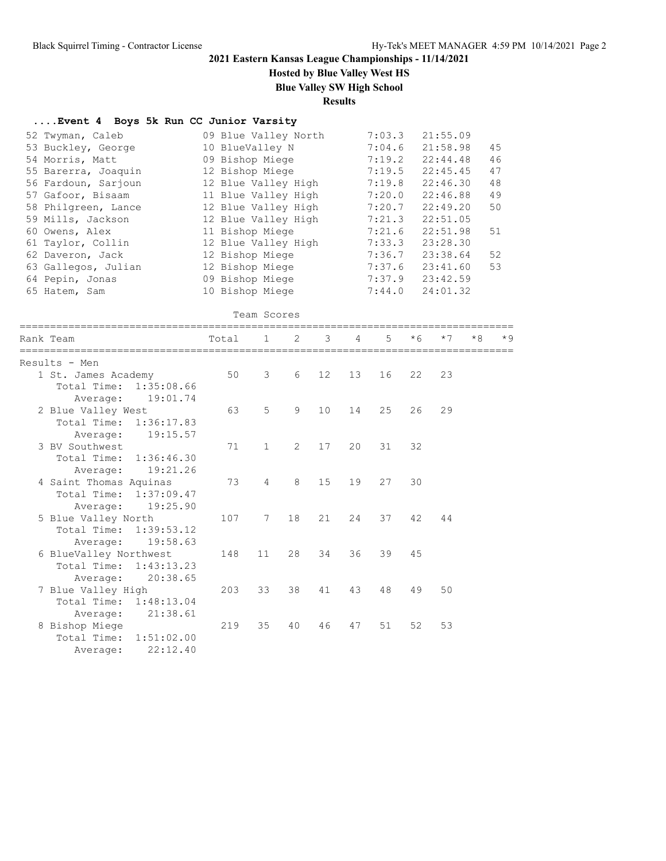**Hosted by Blue Valley West HS**

**Blue Valley SW High School**

### **Results**

### **....Event 4 Boys 5k Run CC Junior Varsity**

| 52 Twyman, Caleb    | 09 Blue Valley North | 7:03.3 | 21:55.09 |    |
|---------------------|----------------------|--------|----------|----|
| 53 Buckley, George  | 10 BlueValley N      | 7:04.6 | 21:58.98 | 45 |
| 54 Morris, Matt     | 09 Bishop Miege      | 7:19.2 | 22:44.48 | 46 |
| 55 Barerra, Joaquin | 12 Bishop Miege      | 7:19.5 | 22:45.45 | 47 |
| 56 Fardoun, Sarjoun | 12 Blue Valley High  | 7:19.8 | 22:46.30 | 48 |
| 57 Gafoor, Bisaam   | 11 Blue Valley High  | 7:20.0 | 22:46.88 | 49 |
| 58 Philgreen, Lance | 12 Blue Valley High  | 7:20.7 | 22:49.20 | 50 |
| 59 Mills, Jackson   | 12 Blue Valley High  | 7:21.3 | 22:51.05 |    |
| 60 Owens, Alex      | 11 Bishop Miege      | 7:21.6 | 22:51.98 | 51 |
| 61 Taylor, Collin   | 12 Blue Valley High  | 7:33.3 | 23:28.30 |    |
| 62 Daveron, Jack    | 12 Bishop Miege      | 7:36.7 | 23:38.64 | 52 |
| 63 Gallegos, Julian | 12 Bishop Miege      | 7:37.6 | 23:41.60 | 53 |
| 64 Pepin, Jonas     | 09 Bishop Miege      | 7:37.9 | 23:42.59 |    |
| 65 Hatem, Sam       | 10 Bishop Miege      | 7:44.0 | 24:01.32 |    |

| Team Scores |
|-------------|
|             |

| Rank Team     |                                                                          | Total | $1 \quad \blacksquare$ | $\mathcal{P}$ | $\overline{3}$  | $\overline{4}$  | $5 -$ | $*6$  | $*7$ | $*8$ | $*9$ |
|---------------|--------------------------------------------------------------------------|-------|------------------------|---------------|-----------------|-----------------|-------|-------|------|------|------|
| Results - Men |                                                                          |       |                        |               |                 |                 |       |       |      |      |      |
|               | 1 St. James Academy<br>Total Time: 1:35:08.66<br>19:01.74<br>Average:    | 50    | 3                      | 6             | 12              | 13 <sup>7</sup> | 16    | 22    | 23   |      |      |
|               | 2 Blue Valley West<br>Total Time: 1:36:17.83<br>19:15.57<br>Average:     | 63    | 5                      | 9             | 10 <sup>°</sup> | 14              | 25    | 26    | 29   |      |      |
|               | 3 BV Southwest<br>Total Time: 1:36:46.30<br>Average: 19:21.26            | 71    | $\mathbf{1}$           | 2             | 17              | 20              |       | 31 32 |      |      |      |
|               | 4 Saint Thomas Aquinas<br>Total Time: 1:37:09.47<br>19:25.90<br>Average: | 73    | $\overline{4}$         | 8             | 15              | 19              | 27    | 30    |      |      |      |
|               | 5 Blue Valley North<br>Total Time: 1:39:53.12<br>19:58.63<br>Average:    | 107   | 7                      | 18            | 21              | 24              | 37    | 42    | 44   |      |      |
|               | 6 BlueValley Northwest<br>Total Time: 1:43:13.23<br>Average: 20:38.65    | 148   | 11                     | 28            | 34              | 36              | 39    | 45    |      |      |      |
|               | 7 Blue Valley High<br>Total Time: 1:48:13.04<br>21:38.61<br>Average:     | 203   | 33                     | 38            | 41              | 43              | 48    | 49    | 50   |      |      |
|               | 8 Bishop Miege<br>Total Time: 1:51:02.00<br>22:12.40<br>Average:         | 219   | 35                     | 40            | 46              | 47              | 51    | 52    | 53   |      |      |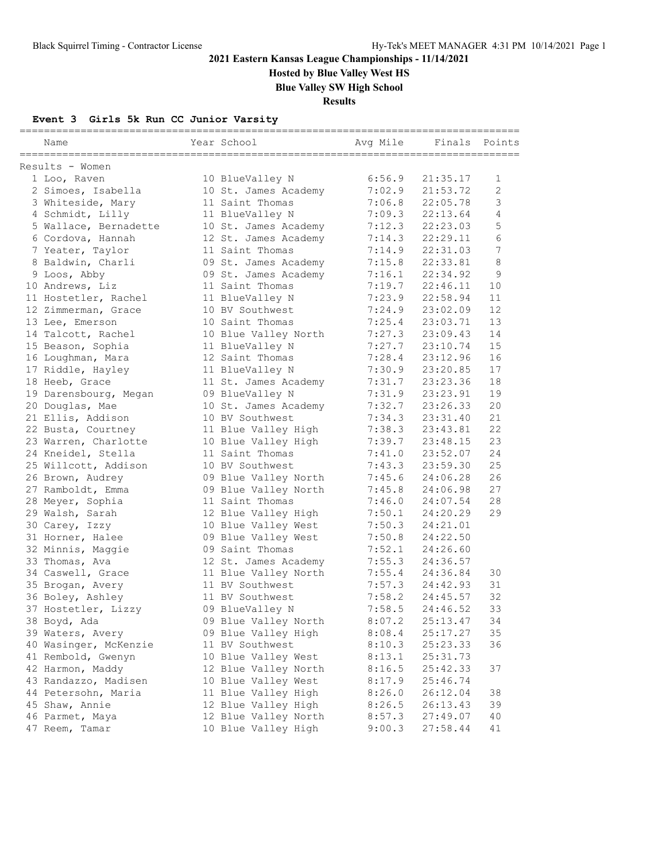**Hosted by Blue Valley West HS**

**Blue Valley SW High School**

**Results**

### **Event 3 Girls 5k Run CC Junior Varsity**

| Name                              | Year School                             | Avg Mile         | Finals               | Points |
|-----------------------------------|-----------------------------------------|------------------|----------------------|--------|
|                                   |                                         |                  |                      |        |
| Results - Women                   |                                         |                  |                      |        |
| 1 Loo, Raven                      | 10 BlueValley N                         | 6:56.9           | 21:35.17             | 1      |
| 2 Simoes, Isabella                | 10 St. James Academy                    | 7:02.9           | 21:53.72             | 2<br>3 |
| 3 Whiteside, Mary                 | 11 Saint Thomas                         | 7:06.8           | 22:05.78             | 4      |
| 4 Schmidt, Lilly                  | 11 BlueValley N                         | 7:09.3           | 22:13.64             | 5      |
| 5 Wallace, Bernadette             | 10 St. James Academy                    | 7:12.3           | 22:23.03             | 6      |
| 6 Cordova, Hannah                 | 12 St. James Academy                    | 7:14.3           | 22:29.11             | 7      |
| 7 Yeater, Taylor                  | 11 Saint Thomas<br>09 St. James Academy | 7:14.9<br>7:15.8 | 22:31.03             | 8      |
| 8 Baldwin, Charli<br>9 Loos, Abby |                                         | 7:16.1           | 22:33.81<br>22:34.92 | 9      |
| 10 Andrews, Liz                   | 09 St. James Academy<br>11 Saint Thomas | 7:19.7           | 22:46.11             | 10     |
|                                   |                                         |                  | 22:58.94             | 11     |
| 11 Hostetler, Rachel              | 11 BlueValley N                         | 7:23.9           |                      | 12     |
| 12 Zimmerman, Grace               | 10 BV Southwest<br>10 Saint Thomas      | 7:24.9           | 23:02.09             | 13     |
| 13 Lee, Emerson                   |                                         | 7:25.4           | 23:03.71             | 14     |
| 14 Talcott, Rachel                | 10 Blue Valley North                    | 7:27.3           | 23:09.43             | 15     |
| 15 Beason, Sophia                 | 11 BlueValley N                         | 7:27.7           | 23:10.74<br>23:12.96 |        |
| 16 Loughman, Mara                 | 12 Saint Thomas                         | 7:28.4           |                      | 16     |
| 17 Riddle, Hayley                 | 11 BlueValley N                         | 7:30.9           | 23:20.85             | 17     |
| 18 Heeb, Grace                    | 11 St. James Academy                    | 7:31.7           | 23:23.36             | 18     |
| 19 Darensbourg, Megan             | 09 BlueValley N                         | 7:31.9           | 23:23.91             | 19     |
| 20 Douglas, Mae                   | 10 St. James Academy                    | 7:32.7           | 23:26.33             | 20     |
| 21 Ellis, Addison                 | 10 BV Southwest                         | 7:34.3           | 23:31.40             | 21     |
| 22 Busta, Courtney                | 11 Blue Valley High                     | 7:38.3           | 23:43.81             | 22     |
| 23 Warren, Charlotte              | 10 Blue Valley High                     | 7:39.7           | 23:48.15             | 23     |
| 24 Kneidel, Stella                | 11 Saint Thomas                         | 7:41.0           | 23:52.07             | 24     |
| 25 Willcott, Addison              | 10 BV Southwest                         | 7:43.3           | 23:59.30             | 25     |
| 26 Brown, Audrey                  | 09 Blue Valley North                    | 7:45.6           | 24:06.28             | 26     |
| 27 Ramboldt, Emma                 | 09 Blue Valley North                    | 7:45.8           | 24:06.98             | 27     |
| 28 Meyer, Sophia                  | 11 Saint Thomas                         | 7:46.0           | 24:07.54             | 28     |
| 29 Walsh, Sarah                   | 12 Blue Valley High                     | 7:50.1           | 24:20.29             | 29     |
| 30 Carey, Izzy                    | 10 Blue Valley West                     | 7:50.3           | 24:21.01             |        |
| 31 Horner, Halee                  | 09 Blue Valley West                     | 7:50.8           | 24:22.50             |        |
| 32 Minnis, Maggie                 | 09 Saint Thomas                         | 7:52.1           | 24:26.60             |        |
| 33 Thomas, Ava                    | 12 St. James Academy                    | 7:55.3           | 24:36.57             |        |
| 34 Caswell, Grace                 | 11 Blue Valley North                    | 7:55.4           | 24:36.84             | 30     |
| 35 Brogan, Avery                  | 11 BV Southwest                         | 7:57.3           | 24:42.93             | 31     |
| 36 Boley, Ashley                  | 11 BV Southwest                         | 7:58.2           | 24:45.57             | 32     |
| 37 Hostetler, Lizzy               | 09 BlueValley N                         | 7:58.5           | 24:46.52             | 33     |
| 38 Boyd, Ada                      | 09 Blue Valley North                    | 8:07.2           | 25:13.47             | 34     |
| 39 Waters, Avery                  | 09 Blue Valley High                     | 8:08.4           | 25:17.27             | 35     |
| 40 Wasinger, McKenzie             | 11 BV Southwest                         | 8:10.3           | 25:23.33             | 36     |
| 41 Rembold, Gwenyn                | 10 Blue Valley West                     | 8:13.1           | 25:31.73             |        |
| 42 Harmon, Maddy                  | 12 Blue Valley North                    | 8:16.5           | 25:42.33             | 37     |
| 43 Randazzo, Madisen              | 10 Blue Valley West                     | 8:17.9           | 25:46.74             |        |
| 44 Petersohn, Maria               | 11 Blue Valley High                     | 8:26.0           | 26:12.04             | 38     |
| 45 Shaw, Annie                    | 12 Blue Valley High                     | 8:26.5           | 26:13.43             | 39     |
| 46 Parmet, Maya                   | 12 Blue Valley North                    | 8:57.3           | 27:49.07             | 40     |
| 47 Reem, Tamar                    | 10 Blue Valley High                     | 9:00.3           | 27:58.44             | 41     |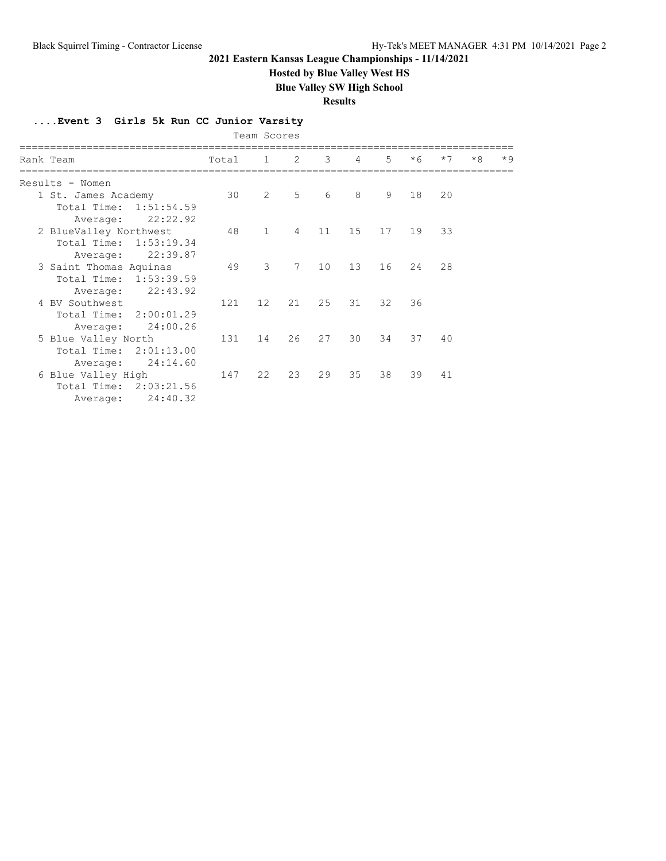**Hosted by Blue Valley West HS**

**Blue Valley SW High School**

**Results**

**....Event 3 Girls 5k Run CC Junior Varsity**

|                        |       | Team Scores       |                |    |                 |       |      |      |      |      |
|------------------------|-------|-------------------|----------------|----|-----------------|-------|------|------|------|------|
| Rank Team              | Total | $\mathbf{1}$      | 2              | 3  | $\overline{4}$  | $5 -$ | $*6$ | $*7$ | $*8$ | $*9$ |
| Results - Women        |       |                   |                |    |                 |       |      |      |      |      |
| 1 St. James Academy    | 30    | $\overline{2}$    | 5 <sup>5</sup> | 6  | 8               | 9     | 18   | 20   |      |      |
| Total Time: 1:51:54.59 |       |                   |                |    |                 |       |      |      |      |      |
| 22:22.92<br>Average:   |       |                   |                |    |                 |       |      |      |      |      |
| 2 BlueValley Northwest | 48    | 1                 | $\overline{4}$ | 11 | 15              | 17    | 19   | 33   |      |      |
| Total Time: 1:53:19.34 |       |                   |                |    |                 |       |      |      |      |      |
| 22:39.87<br>Average:   |       |                   |                |    |                 |       |      |      |      |      |
| 3 Saint Thomas Aquinas | 49    | $\mathcal{S}$     | 7              | 10 | 13 <sup>°</sup> | 16    | 24   | 28   |      |      |
| Total Time: 1:53:39.59 |       |                   |                |    |                 |       |      |      |      |      |
| 22:43.92<br>Average:   |       |                   |                |    |                 |       |      |      |      |      |
| 4 BV Southwest         | 121   | $12 \overline{ }$ | 21             | 25 | 31              | 32    | 36   |      |      |      |
| Total Time: 2:00:01.29 |       |                   |                |    |                 |       |      |      |      |      |
| 24:00.26<br>Average:   |       |                   |                |    |                 |       |      |      |      |      |
| 5 Blue Valley North    | 131   | 14                | 26             | 27 | 30              | 34    | 37   | 40   |      |      |
| Total Time: 2:01:13.00 |       |                   |                |    |                 |       |      |      |      |      |
| 24:14.60<br>Average:   |       |                   |                |    |                 |       |      |      |      |      |
| 6 Blue Valley High     | 147   | 22                | 23             | 29 | 35              | 38    | 39   | 41   |      |      |
| Total Time: 2:03:21.56 |       |                   |                |    |                 |       |      |      |      |      |
| 24:40.32<br>Average:   |       |                   |                |    |                 |       |      |      |      |      |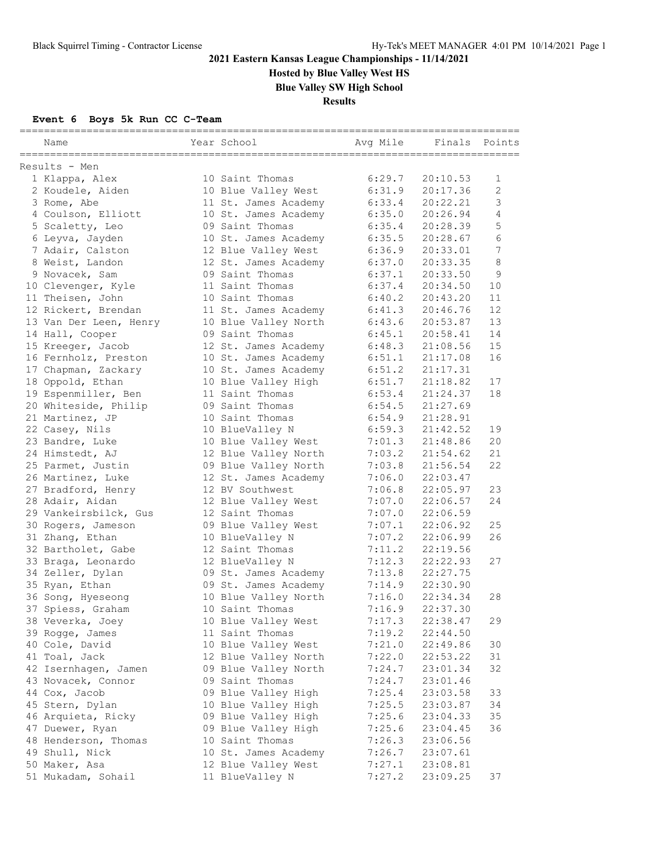**Hosted by Blue Valley West HS**

**Blue Valley SW High School**

**Results**

### **Event 6 Boys 5k Run CC C-Team**

| Name                                   | Year School                                  | Avg Mile         | Finals               | Points |
|----------------------------------------|----------------------------------------------|------------------|----------------------|--------|
| Results - Men                          |                                              |                  |                      |        |
| 1 Klappa, Alex                         | 10 Saint Thomas                              | 6:29.7           | 20:10.53             | 1      |
| 2 Koudele, Aiden                       | 10 Blue Valley West                          | 6:31.9           | 20:17.36             | 2      |
| 3 Rome, Abe                            | 11 St. James Academy                         | 6:33.4           | 20:22.21             | 3      |
| 4 Coulson, Elliott                     | 10 St. James Academy                         | 6:35.0           | 20:26.94             | 4      |
| 5 Scaletty, Leo                        | 09 Saint Thomas                              | 6:35.4           | 20:28.39             | 5      |
| 6 Leyva, Jayden                        | 10 St. James Academy                         | 6:35.5           | 20:28.67             | 6      |
| 7 Adair, Calston                       | 12 Blue Valley West                          | 6:36.9           | 20:33.01             | 7      |
| 8 Weist, Landon                        | 12 St. James Academy                         | 6:37.0           | 20:33.35             | 8      |
| 9 Novacek, Sam                         | 09 Saint Thomas                              | 6:37.1           | 20:33.50             | 9      |
| 10 Clevenger, Kyle                     | 11 Saint Thomas                              | 6:37.4           | 20:34.50             | 10     |
| 11 Theisen, John                       | 10 Saint Thomas                              | 6:40.2           | 20:43.20             | 11     |
| 12 Rickert, Brendan                    | 11 St. James Academy                         | 6:41.3           | 20:46.76             | 12     |
| 13 Van Der Leen, Henry                 | 10 Blue Valley North                         | 6:43.6           | 20:53.87             | 13     |
| 14 Hall, Cooper                        | 09 Saint Thomas                              | 6:45.1           | 20:58.41             | 14     |
| 15 Kreeger, Jacob                      | 12 St. James Academy                         | 6:48.3           | 21:08.56             | 15     |
| 16 Fernholz, Preston                   | 10 St. James Academy                         | 6:51.1           | 21:17.08             | 16     |
| 17 Chapman, Zackary                    | 10 St. James Academy                         | 6:51.2           | 21:17.31             |        |
| 18 Oppold, Ethan                       | 10 Blue Valley High                          | 6:51.7           | 21:18.82             | 17     |
| 19 Espenmiller, Ben                    | 11 Saint Thomas                              | 6:53.4           | 21:24.37             | 18     |
| 20 Whiteside, Philip                   | 09 Saint Thomas                              | 6:54.5           | 21:27.69             |        |
| 21 Martinez, JP                        | 10 Saint Thomas                              | 6:54.9           | 21:28.91             |        |
| 22 Casey, Nils                         | 10 BlueValley N                              | 6:59.3           | 21:42.52             | 19     |
| 23 Bandre, Luke                        | 10 Blue Valley West                          | 7:01.3           | 21:48.86             | 20     |
| 24 Himstedt, AJ                        | 12 Blue Valley North                         | 7:03.2           | 21:54.62             | 21     |
| 25 Parmet, Justin                      | 09 Blue Valley North                         | 7:03.8           | 21:56.54             | 22     |
| 26 Martinez, Luke                      | 12 St. James Academy                         | 7:06.0           | 22:03.47             |        |
| 27 Bradford, Henry                     | 12 BV Southwest                              | 7:06.8           | 22:05.97             | 23     |
| 28 Adair, Aidan                        | 12 Blue Valley West                          | 7:07.0           | 22:06.57             | 24     |
| 29 Vankeirsbilck, Gus                  | 12 Saint Thomas                              | 7:07.0           | 22:06.59             |        |
| 30 Rogers, Jameson                     | 09 Blue Valley West                          | 7:07.1           | 22:06.92             | 25     |
| 31 Zhang, Ethan                        | 10 BlueValley N<br>12 Saint Thomas           | 7:07.2           | 22:06.99             | 26     |
| 32 Bartholet, Gabe                     |                                              | 7:11.2           | 22:19.56             |        |
| 33 Braga, Leonardo<br>34 Zeller, Dylan | 12 BlueValley N                              | 7:12.3<br>7:13.8 | 22:22.93<br>22:27.75 | 27     |
| 35 Ryan, Ethan                         | 09 St. James Academy                         | 7:14.9           | 22:30.90             |        |
| 36 Song, Hyeseong                      | 09 St. James Academy<br>10 Blue Valley North | 7:16.0           | 22:34.34             | 28     |
| 37 Spiess, Graham                      | 10 Saint Thomas                              | 7:16.9           | 22:37.30             |        |
|                                        | 10 Blue Valley West                          | 7:17.3           | 22:38.47             | 29     |
| 38 Veverka, Joey<br>39 Rogge, James    | 11 Saint Thomas                              | 7:19.2           | 22:44.50             |        |
| 40 Cole, David                         | 10 Blue Valley West                          | 7:21.0           | 22:49.86             | 30     |
| 41 Toal, Jack                          | 12 Blue Valley North                         | 7:22.0           | 22:53.22             | 31     |
| 42 Isernhagen, Jamen                   | 09 Blue Valley North                         | 7:24.7           | 23:01.34             | 32     |
| 43 Novacek, Connor                     | 09 Saint Thomas                              | 7:24.7           | 23:01.46             |        |
| 44 Cox, Jacob                          | 09 Blue Valley High                          | 7:25.4           | 23:03.58             | 33     |
| 45 Stern, Dylan                        | 10 Blue Valley High                          | 7:25.5           | 23:03.87             | 34     |
| 46 Arquieta, Ricky                     | 09 Blue Valley High                          | 7:25.6           | 23:04.33             | 35     |
| 47 Duewer, Ryan                        | 09 Blue Valley High                          | 7:25.6           | 23:04.45             | 36     |
| 48 Henderson, Thomas                   | 10 Saint Thomas                              | 7:26.3           | 23:06.56             |        |
| 49 Shull, Nick                         | 10 St. James Academy                         | 7:26.7           | 23:07.61             |        |
| 50 Maker, Asa                          | 12 Blue Valley West                          | 7:27.1           | 23:08.81             |        |
| 51 Mukadam, Sohail                     | 11 BlueValley N                              | 7:27.2           | 23:09.25             | 37     |
|                                        |                                              |                  |                      |        |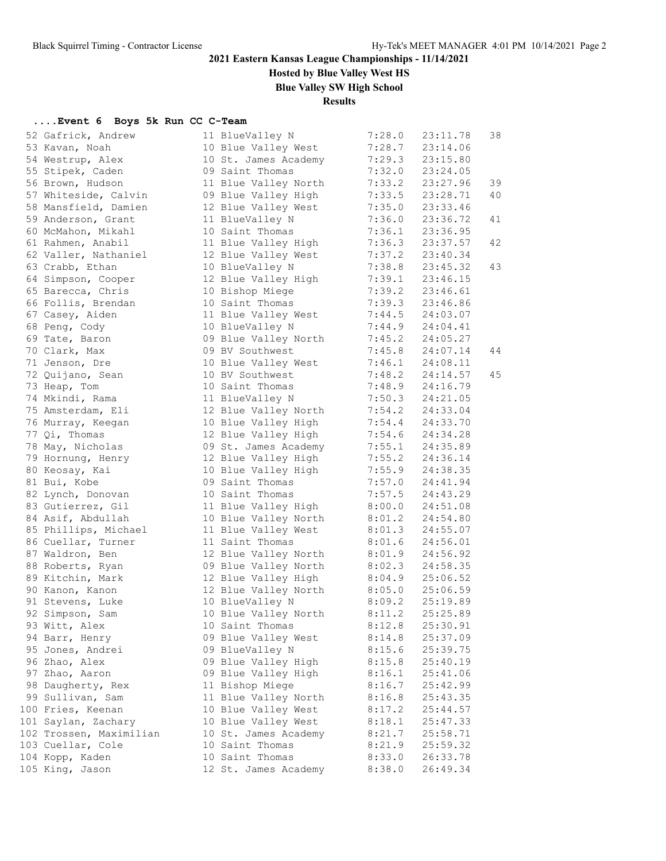**Hosted by Blue Valley West HS**

**Blue Valley SW High School**

### **Results**

### **....Event 6 Boys 5k Run CC C-Team**

| 52 Gafrick, Andrew      | 11 BlueValley N      | 7:28.0 | 23:11.78 | 38 |
|-------------------------|----------------------|--------|----------|----|
| 53 Kavan, Noah          | 10 Blue Valley West  | 7:28.7 | 23:14.06 |    |
| 54 Westrup, Alex        | 10 St. James Academy | 7:29.3 | 23:15.80 |    |
| 55 Stipek, Caden        | 09 Saint Thomas      | 7:32.0 | 23:24.05 |    |
| 56 Brown, Hudson        | 11 Blue Valley North | 7:33.2 | 23:27.96 | 39 |
| 57 Whiteside, Calvin    | 09 Blue Valley High  | 7:33.5 | 23:28.71 | 40 |
| 58 Mansfield, Damien    | 12 Blue Valley West  | 7:35.0 | 23:33.46 |    |
| 59 Anderson, Grant      | 11 BlueValley N      | 7:36.0 | 23:36.72 | 41 |
| 60 McMahon, Mikahl      | 10 Saint Thomas      | 7:36.1 | 23:36.95 |    |
| 61 Rahmen, Anabil       | 11 Blue Valley High  | 7:36.3 | 23:37.57 | 42 |
| 62 Valler, Nathaniel    | 12 Blue Valley West  | 7:37.2 | 23:40.34 |    |
| 63 Crabb, Ethan         | 10 BlueValley N      | 7:38.8 | 23:45.32 | 43 |
| 64 Simpson, Cooper      | 12 Blue Valley High  | 7:39.1 | 23:46.15 |    |
| 65 Barecca, Chris       | 10 Bishop Miege      | 7:39.2 | 23:46.61 |    |
| 66 Follis, Brendan      | 10 Saint Thomas      | 7:39.3 | 23:46.86 |    |
| 67 Casey, Aiden         | 11 Blue Valley West  | 7:44.5 | 24:03.07 |    |
| 68 Peng, Cody           | 10 BlueValley N      | 7:44.9 | 24:04.41 |    |
| 69 Tate, Baron          | 09 Blue Valley North | 7:45.2 | 24:05.27 |    |
| 70 Clark, Max           | 09 BV Southwest      | 7:45.8 | 24:07.14 | 44 |
| 71 Jenson, Dre          | 10 Blue Valley West  | 7:46.1 | 24:08.11 |    |
| 72 Quijano, Sean        | 10 BV Southwest      | 7:48.2 | 24:14.57 | 45 |
| 73 Heap, Tom            | 10 Saint Thomas      | 7:48.9 | 24:16.79 |    |
| 74 Mkindi, Rama         | 11 BlueValley N      | 7:50.3 | 24:21.05 |    |
| 75 Amsterdam, Eli       | 12 Blue Valley North | 7:54.2 | 24:33.04 |    |
| 76 Murray, Keegan       | 10 Blue Valley High  | 7:54.4 | 24:33.70 |    |
| 77 Qi, Thomas           | 12 Blue Valley High  | 7:54.6 | 24:34.28 |    |
| 78 May, Nicholas        | 09 St. James Academy | 7:55.1 | 24:35.89 |    |
| 79 Hornung, Henry       | 12 Blue Valley High  | 7:55.2 | 24:36.14 |    |
| 80 Keosay, Kai          | 10 Blue Valley High  | 7:55.9 | 24:38.35 |    |
| 81 Bui, Kobe            | 09 Saint Thomas      | 7:57.0 | 24:41.94 |    |
| 82 Lynch, Donovan       | 10 Saint Thomas      | 7:57.5 | 24:43.29 |    |
| 83 Gutierrez, Gil       | 11 Blue Valley High  | 8:00.0 | 24:51.08 |    |
| 84 Asif, Abdullah       | 10 Blue Valley North | 8:01.2 | 24:54.80 |    |
| 85 Phillips, Michael    | 11 Blue Valley West  | 8:01.3 | 24:55.07 |    |
| 86 Cuellar, Turner      | 11 Saint Thomas      | 8:01.6 | 24:56.01 |    |
| 87 Waldron, Ben         | 12 Blue Valley North | 8:01.9 | 24:56.92 |    |
| 88 Roberts, Ryan        | 09 Blue Valley North | 8:02.3 | 24:58.35 |    |
| 89 Kitchin, Mark        | 12 Blue Valley High  | 8:04.9 | 25:06.52 |    |
| 90 Kanon, Kanon         | 12 Blue Valley North | 8:05.0 | 25:06.59 |    |
| 91 Stevens, Luke        | 10 BlueValley N      | 8:09.2 | 25:19.89 |    |
| 92 Simpson, Sam         | 10 Blue Valley North | 8:11.2 | 25:25.89 |    |
| 93 Witt, Alex           | 10 Saint Thomas      | 8:12.8 | 25:30.91 |    |
| 94 Barr, Henry          | 09 Blue Valley West  | 8:14.8 | 25:37.09 |    |
| 95 Jones, Andrei        | 09 BlueValley N      | 8:15.6 | 25:39.75 |    |
| 96 Zhao, Alex           | 09 Blue Valley High  | 8:15.8 | 25:40.19 |    |
| 97 Zhao, Aaron          | 09 Blue Valley High  | 8:16.1 | 25:41.06 |    |
| 98 Daugherty, Rex       | 11 Bishop Miege      | 8:16.7 | 25:42.99 |    |
| 99 Sullivan, Sam        | 11 Blue Valley North | 8:16.8 | 25:43.35 |    |
| 100 Fries, Keenan       | 10 Blue Valley West  | 8:17.2 | 25:44.57 |    |
| 101 Saylan, Zachary     | 10 Blue Valley West  | 8:18.1 | 25:47.33 |    |
| 102 Trossen, Maximilian | 10 St. James Academy | 8:21.7 | 25:58.71 |    |
| 103 Cuellar, Cole       | 10 Saint Thomas      | 8:21.9 | 25:59.32 |    |
| 104 Kopp, Kaden         | 10 Saint Thomas      | 8:33.0 | 26:33.78 |    |
| 105 King, Jason         | 12 St. James Academy | 8:38.0 | 26:49.34 |    |
|                         |                      |        |          |    |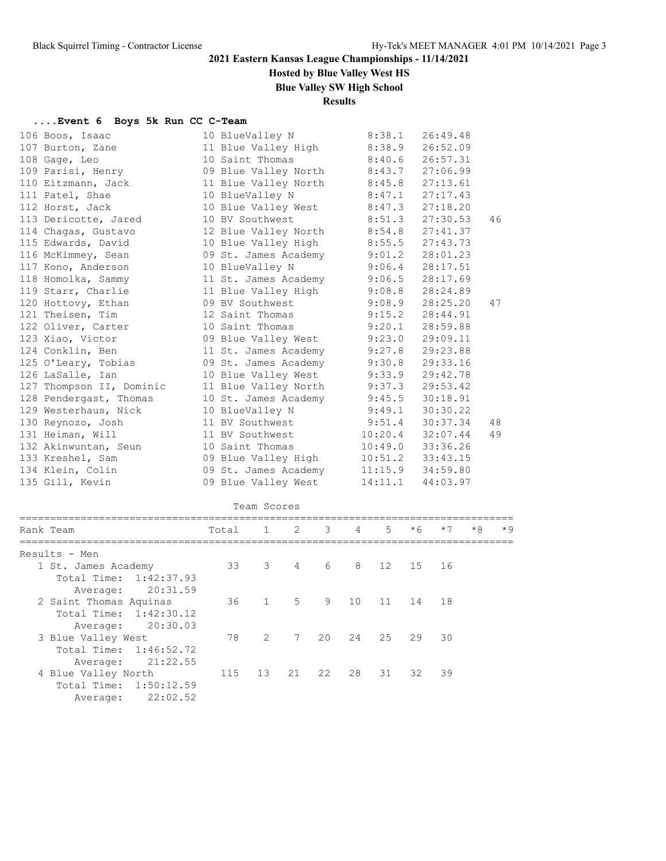## **Hosted by Blue Valley West HS**

**Blue Valley SW High School**

### **Results**

### **....Event 6 Boys 5k Run CC C-Team**

| 106 Boos, Isaac          | 10 BlueValley N              | 8:38.1  | 26:49.48 |    |
|--------------------------|------------------------------|---------|----------|----|
| 107 Burton, Zane         | 11 Blue Valley High          | 8:38.9  | 26:52.09 |    |
| 108 Gage, Leo            | 10 Saint Thomas              | 8:40.6  | 26:57.31 |    |
| 109 Parisi, Henry        | 09 Blue Valley North 8:43.7  |         | 27:06.99 |    |
| 110 Eitzmann, Jack       | 11 Blue Valley North 8:45.8  |         | 27:13.61 |    |
| 111 Patel, Shae          | 10 BlueValley N              | 8:47.1  | 27:17.43 |    |
| 112 Horst, Jack          | 10 Blue Valley West 8:47.3   |         | 27:18.20 |    |
| 113 Dericotte, Jared     | 10 BV Southwest              | 8:51.3  | 27:30.53 | 46 |
| 114 Chagas, Gustavo      | 12 Blue Valley North         | 8:54.8  | 27:41.37 |    |
| 115 Edwards, David       | 10 Blue Valley High 8:55.5   |         | 27:43.73 |    |
| 116 McKimmey, Sean       | 09 St. James Academy 9:01.2  |         | 28:01.23 |    |
| 117 Kono, Anderson       | 10 BlueValley N              | 9:06.4  | 28:17.51 |    |
| 118 Homolka, Sammy       | 11 St. James Academy         | 9:06.5  | 28:17.69 |    |
| 119 Starr, Charlie       | 11 Blue Valley High 9:08.8   |         | 28:24.89 |    |
| 120 Hottovy, Ethan       | 09 BV Southwest              | 9:08.9  | 28:25.20 | 47 |
| 121 Theisen, Tim         | 12 Saint Thomas              | 9:15.2  | 28:44.91 |    |
| 122 Oliver, Carter       | 10 Saint Thomas              | 9:20.1  | 28:59.88 |    |
| 123 Xiao, Victor         | 09 Blue Valley West 9:23.0   |         | 29:09.11 |    |
| 124 Conklin, Ben         | 11 St. James Academy         | 9:27.8  | 29:23.88 |    |
| 125 O'Leary, Tobias      | 09 St. James Academy         | 9:30.8  | 29:33.16 |    |
| 126 LaSalle, Ian         | 10 Blue Valley West          | 9:33.9  | 29:42.78 |    |
| 127 Thompson II, Dominic | 11 Blue Valley North 9:37.3  |         | 29:53.42 |    |
| 128 Pendergast, Thomas   | 10 St. James Academy         | 9:45.5  | 30:18.91 |    |
| 129 Westerhaus, Nick     | 10 BlueValley N              | 9:49.1  | 30:30.22 |    |
| 130 Reynozo, Josh        | 11 BV Southwest              | 9:51.4  | 30:37.34 | 48 |
| 131 Heiman, Will         | 11 BV Southwest 10:20.4      |         | 32:07.44 | 49 |
| 132 Akinwuntan, Seun     | 10 Saint Thomas              | 10:49.0 | 33:36.26 |    |
| 133 Kreshel, Sam         | 09 Blue Valley High          | 10:51.2 | 33:43.15 |    |
| 134 Klein, Colin         | 09 St. James Academy 11:15.9 |         | 34:59.80 |    |
| 135 Gill, Kevin          | 09 Blue Valley West          | 14:11.1 | 44:03.97 |    |
|                          |                              |         |          |    |

|                                                  |       | Team Scores    |             |                         |                 |                |      |                 |      |      |
|--------------------------------------------------|-------|----------------|-------------|-------------------------|-----------------|----------------|------|-----------------|------|------|
| Rank Team                                        | Total | $1 \t 2$       |             | $\overline{\mathbf{3}}$ | $4\overline{4}$ | 5 <sup>5</sup> | $*6$ | $*7$            | $*8$ | $*9$ |
| Results - Men                                    |       |                |             |                         |                 |                |      |                 |      |      |
| 1 St. James Academy<br>Total Time: 1:42:37.93    |       | 33 3           | 4           | $6\overline{6}$         | 8 12 15 16      |                |      |                 |      |      |
| 20:31.59<br>Average:                             |       |                |             |                         |                 |                |      |                 |      |      |
| 2 Saint Thomas Aquinas<br>Total Time: 1:42:30.12 | 36    |                | $1 \quad 5$ |                         | 9 10            | 11 14          |      | 18              |      |      |
| 20:30.03<br>Average:                             |       |                |             |                         |                 |                |      |                 |      |      |
| 3 Blue Valley West                               | 78    | $\overline{2}$ |             | 7 20                    | 24              | 25             | 29   | $\overline{30}$ |      |      |
| Total Time: 1:46:52.72<br>21:22.55<br>Average:   |       |                |             |                         |                 |                |      |                 |      |      |
| 4 Blue Valley North                              | 115   | 13             |             | 21 22                   | 28              | 31             |      | 32 39           |      |      |
| Total Time: 1:50:12.59                           |       |                |             |                         |                 |                |      |                 |      |      |
| 22:02.52<br>Average:                             |       |                |             |                         |                 |                |      |                 |      |      |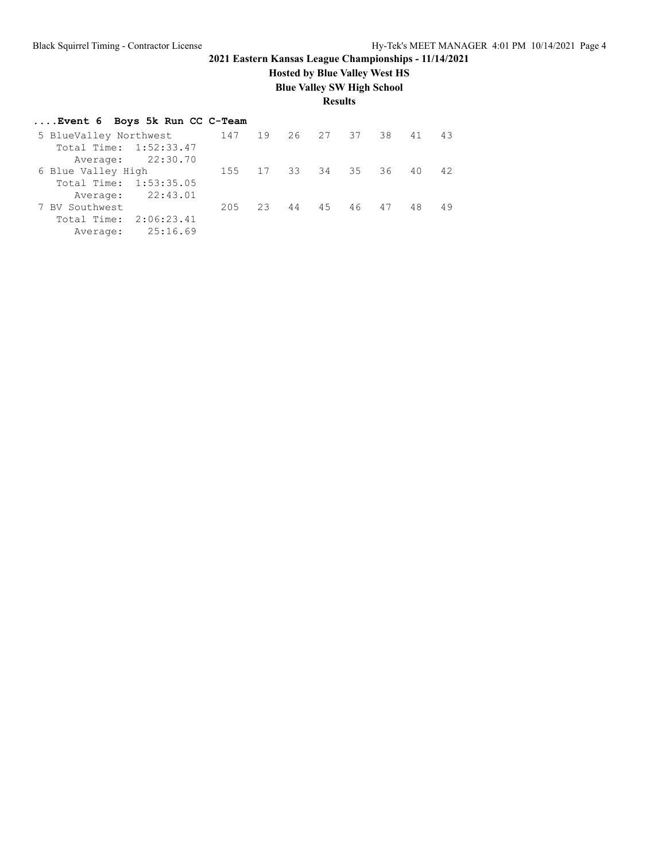## **Hosted by Blue Valley West HS**

**Blue Valley SW High School**

**Results**

### **....Event 6 Boys 5k Run CC C-Team**

| 5 BlueValley Northwest | 147 19 26 27 37 38 41 |              |    |    |    |       |    | 43 |
|------------------------|-----------------------|--------------|----|----|----|-------|----|----|
| Total Time: 1:52:33.47 |                       |              |    |    |    |       |    |    |
| Average: 22:30.70      |                       |              |    |    |    |       |    |    |
| 6 Blue Valley High     |                       | 155 17 33 34 |    |    | 35 | 36    | 40 | 42 |
| Total Time: 1:53:35.05 |                       |              |    |    |    |       |    |    |
| Average: 22:43.01      |                       |              |    |    |    |       |    |    |
| 7 BV Southwest         | 205                   | 23           | 44 | 45 |    | 46 47 | 48 | 49 |
| Total Time: 2:06:23.41 |                       |              |    |    |    |       |    |    |
| Average: 25:16.69      |                       |              |    |    |    |       |    |    |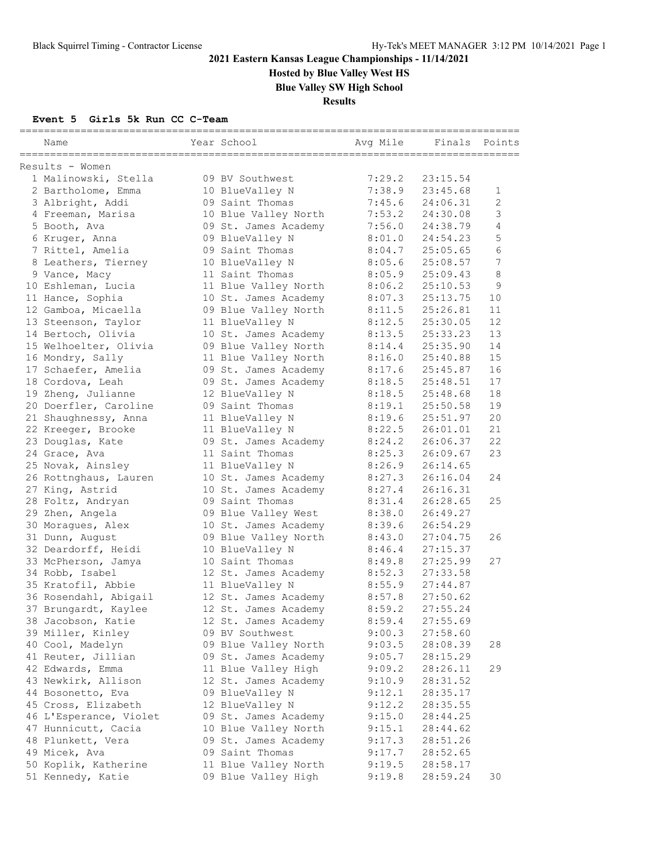**Hosted by Blue Valley West HS**

**Blue Valley SW High School**

**Results**

### **Event 5 Girls 5k Run CC C-Team**

| Name                   | Year School          | Avg Mile | Finals   | Points |
|------------------------|----------------------|----------|----------|--------|
| Results - Women        |                      |          |          |        |
| 1 Malinowski, Stella   | 09 BV Southwest      | 7:29.2   | 23:15.54 |        |
| 2 Bartholome, Emma     | 10 BlueValley N      | 7:38.9   | 23:45.68 | 1      |
| 3 Albright, Addi       | 09 Saint Thomas      | 7:45.6   | 24:06.31 | 2      |
| 4 Freeman, Marisa      | 10 Blue Valley North | 7:53.2   | 24:30.08 | 3      |
| 5 Booth, Ava           | 09 St. James Academy | 7:56.0   | 24:38.79 | 4      |
| 6 Kruger, Anna         | 09 BlueValley N      | 8:01.0   | 24:54.23 | 5      |
| 7 Rittel, Amelia       | 09 Saint Thomas      | 8:04.7   | 25:05.65 | 6      |
| 8 Leathers, Tierney    | 10 BlueValley N      | 8:05.6   | 25:08.57 | 7      |
| 9 Vance, Macy          | 11 Saint Thomas      | 8:05.9   | 25:09.43 | 8      |
| 10 Eshleman, Lucia     | 11 Blue Valley North | 8:06.2   | 25:10.53 | 9      |
| 11 Hance, Sophia       | 10 St. James Academy | 8:07.3   | 25:13.75 | 10     |
| 12 Gamboa, Micaella    | 09 Blue Valley North | 8:11.5   | 25:26.81 | 11     |
| 13 Steenson, Taylor    | 11 BlueValley N      | 8:12.5   | 25:30.05 | 12     |
| 14 Bertoch, Olivia     | 10 St. James Academy | 8:13.5   | 25:33.23 | 13     |
| 15 Welhoelter, Olivia  | 09 Blue Valley North | 8:14.4   | 25:35.90 | 14     |
| 16 Mondry, Sally       | 11 Blue Valley North | 8:16.0   | 25:40.88 | 15     |
| 17 Schaefer, Amelia    | 09 St. James Academy | 8:17.6   | 25:45.87 | 16     |
| 18 Cordova, Leah       | 09 St. James Academy | 8:18.5   | 25:48.51 | 17     |
| 19 Zheng, Julianne     | 12 BlueValley N      | 8:18.5   | 25:48.68 | 18     |
| 20 Doerfler, Caroline  | 09 Saint Thomas      | 8:19.1   | 25:50.58 | 19     |
| 21 Shaughnessy, Anna   | 11 BlueValley N      | 8:19.6   | 25:51.97 | 20     |
| 22 Kreeger, Brooke     | 11 BlueValley N      | 8:22.5   | 26:01.01 | 21     |
| 23 Douglas, Kate       | 09 St. James Academy | 8:24.2   | 26:06.37 | 22     |
| 24 Grace, Ava          | 11 Saint Thomas      | 8:25.3   | 26:09.67 | 23     |
| 25 Novak, Ainsley      | 11 BlueValley N      | 8:26.9   | 26:14.65 |        |
| 26 Rottnghaus, Lauren  | 10 St. James Academy | 8:27.3   | 26:16.04 | 24     |
| 27 King, Astrid        | 10 St. James Academy | 8:27.4   | 26:16.31 |        |
| 28 Foltz, Andryan      | 09 Saint Thomas      | 8:31.4   | 26:28.65 | 25     |
| 29 Zhen, Angela        | 09 Blue Valley West  | 8:38.0   | 26:49.27 |        |
| 30 Moragues, Alex      | 10 St. James Academy | 8:39.6   | 26:54.29 |        |
| 31 Dunn, August        | 09 Blue Valley North | 8:43.0   | 27:04.75 | 26     |
| 32 Deardorff, Heidi    | 10 BlueValley N      | 8:46.4   | 27:15.37 |        |
| 33 McPherson, Jamya    | 10 Saint Thomas      | 8:49.8   | 27:25.99 | 27     |
| 34 Robb, Isabel        | 12 St. James Academy | 8:52.3   | 27:33.58 |        |
| 35 Kratofil, Abbie     | 11 BlueValley N      | 8:55.9   | 27:44.87 |        |
| 36 Rosendahl, Abigail  | 12 St. James Academy | 8:57.8   | 27:50.62 |        |
| 37 Brungardt, Kaylee   | 12 St. James Academy | 8:59.2   | 27:55.24 |        |
| 38 Jacobson, Katie     | 12 St. James Academy | 8:59.4   | 27:55.69 |        |
| 39 Miller, Kinley      | 09 BV Southwest      | 9:00.3   | 27:58.60 |        |
| 40 Cool, Madelyn       | 09 Blue Valley North | 9:03.5   | 28:08.39 | 28     |
| 41 Reuter, Jillian     | 09 St. James Academy | 9:05.7   | 28:15.29 |        |
| 42 Edwards, Emma       | 11 Blue Valley High  | 9:09.2   | 28:26.11 | 29     |
| 43 Newkirk, Allison    | 12 St. James Academy | 9:10.9   | 28:31.52 |        |
| 44 Bosonetto, Eva      | 09 BlueValley N      | 9:12.1   | 28:35.17 |        |
| 45 Cross, Elizabeth    | 12 BlueValley N      | 9:12.2   | 28:35.55 |        |
| 46 L'Esperance, Violet | 09 St. James Academy | 9:15.0   | 28:44.25 |        |
| 47 Hunnicutt, Cacia    | 10 Blue Valley North | 9:15.1   | 28:44.62 |        |
| 48 Plunkett, Vera      | 09 St. James Academy | 9:17.3   | 28:51.26 |        |
| 49 Micek, Ava          | 09 Saint Thomas      | 9:17.7   | 28:52.65 |        |
| 50 Koplik, Katherine   | 11 Blue Valley North | 9:19.5   | 28:58.17 |        |
| 51 Kennedy, Katie      | 09 Blue Valley High  | 9:19.8   | 28:59.24 | 30     |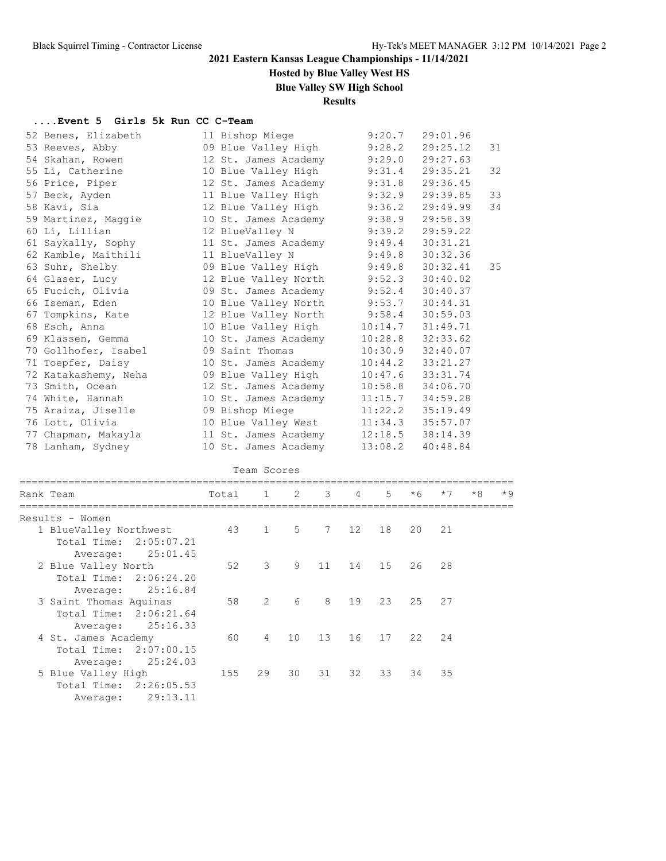### **Hosted by Blue Valley West HS**

**Blue Valley SW High School**

### **Results**

#### **....Event 5 Girls 5k Run CC C-Team**

| 52 Benes, Elizabeth  | 11 Bishop Miege              | 9:20.7  | 29:01.96 |    |
|----------------------|------------------------------|---------|----------|----|
| 53 Reeves, Abby      | 09 Blue Valley High          | 9:28.2  | 29:25.12 | 31 |
| 54 Skahan, Rowen     | 12 St. James Academy         | 9:29.0  | 29:27.63 |    |
| 55 Li, Catherine     | 10 Blue Valley High          | 9:31.4  | 29:35.21 | 32 |
| 56 Price, Piper      | 12 St. James Academy         | 9:31.8  | 29:36.45 |    |
| 57 Beck, Ayden       | 11 Blue Valley High          | 9:32.9  | 29:39.85 | 33 |
| 58 Kavi, Sia         | 12 Blue Valley High          | 9:36.2  | 29:49.99 | 34 |
| 59 Martinez, Maggie  | 10 St. James Academy         | 9:38.9  | 29:58.39 |    |
| 60 Li, Lillian       | 12 BlueValley N              | 9:39.2  | 29:59.22 |    |
| 61 Saykally, Sophy   | 11 St. James Academy         | 9:49.4  | 30:31.21 |    |
| 62 Kamble, Maithili  | 11 BlueValley N              | 9:49.8  | 30:32.36 |    |
| 63 Suhr, Shelby      | 09 Blue Valley High          | 9:49.8  | 30:32.41 | 35 |
| 64 Glaser, Lucy      | 12 Blue Valley North         | 9:52.3  | 30:40.02 |    |
| 65 Fucich, Olivia    | 09 St. James Academy         | 9:52.4  | 30:40.37 |    |
| 66 Iseman, Eden      | 10 Blue Valley North         | 9:53.7  | 30:44.31 |    |
| 67 Tompkins, Kate    | 12 Blue Valley North 9:58.4  |         | 30:59.03 |    |
| 68 Esch, Anna        | 10 Blue Valley High          | 10:14.7 | 31:49.71 |    |
| 69 Klassen, Gemma    | 10 St. James Academy         | 10:28.8 | 32:33.62 |    |
| 70 Gollhofer, Isabel | 09 Saint Thomas              | 10:30.9 | 32:40.07 |    |
| 71 Toepfer, Daisy    | 10 St. James Academy         | 10:44.2 | 33:21.27 |    |
| 72 Katakashemy, Neha | 09 Blue Valley High          | 10:47.6 | 33:31.74 |    |
| 73 Smith, Ocean      | 12 St. James Academy         | 10:58.8 | 34:06.70 |    |
| 74 White, Hannah     | 10 St. James Academy         | 11:15.7 | 34:59.28 |    |
| 75 Araiza, Jiselle   | 09 Bishop Miege              | 11:22.2 | 35:19.49 |    |
| 76 Lott, Olivia      | 10 Blue Valley West          | 11:34.3 | 35:57.07 |    |
| 77 Chapman, Makayla  | 11 St. James Academy 12:18.5 |         | 38:14.39 |    |
| 78 Lanham, Sydney    | 10 St. James Academy         | 13:08.2 | 40:48.84 |    |
|                      |                              |         |          |    |

| Team Scores            |       |                |             |                 |            |       |        |       |      |      |
|------------------------|-------|----------------|-------------|-----------------|------------|-------|--------|-------|------|------|
| Rank Team              | Total |                | $1 \quad 2$ | $\mathcal{B}$   | $4\degree$ | $5 -$ | $*6$   | $*7$  | $*8$ | $*9$ |
| Results - Women        |       |                |             |                 |            |       |        |       |      |      |
| 1 BlueValley Northwest |       | 43 1           | 5           | $7\overline{ }$ | 12         | 18    | 20     | 21    |      |      |
| Total Time: 2:05:07.21 |       |                |             |                 |            |       |        |       |      |      |
| 25:01.45<br>Average:   |       |                |             |                 |            |       |        |       |      |      |
| 2 Blue Valley North    | 52    | 3              | 9           | 11              | 14         | 15    | 26     | 28    |      |      |
| Total Time: 2:06:24.20 |       |                |             |                 |            |       |        |       |      |      |
| 25:16.84<br>Average:   |       |                |             |                 |            |       |        |       |      |      |
| 3 Saint Thomas Aquinas | 58    | 2              | 6           | 8               | 19         | 23    | $25 -$ | 27    |      |      |
| Total Time: 2:06:21.64 |       |                |             |                 |            |       |        |       |      |      |
| Average: 25:16.33      |       |                |             |                 |            |       |        |       |      |      |
| 4 St. James Academy    | 60    | $\overline{4}$ | 10          | 13              | 16         | 17    | 22     | 24    |      |      |
| Total Time: 2:07:00.15 |       |                |             |                 |            |       |        |       |      |      |
| 25:24.03<br>Average:   |       |                |             |                 |            |       |        |       |      |      |
| 5 Blue Valley High     | 155   | 29             | 30          | 31              | 32         | 33    |        | 34 35 |      |      |
| Total Time: 2:26:05.53 |       |                |             |                 |            |       |        |       |      |      |
| 29:13.11<br>Average:   |       |                |             |                 |            |       |        |       |      |      |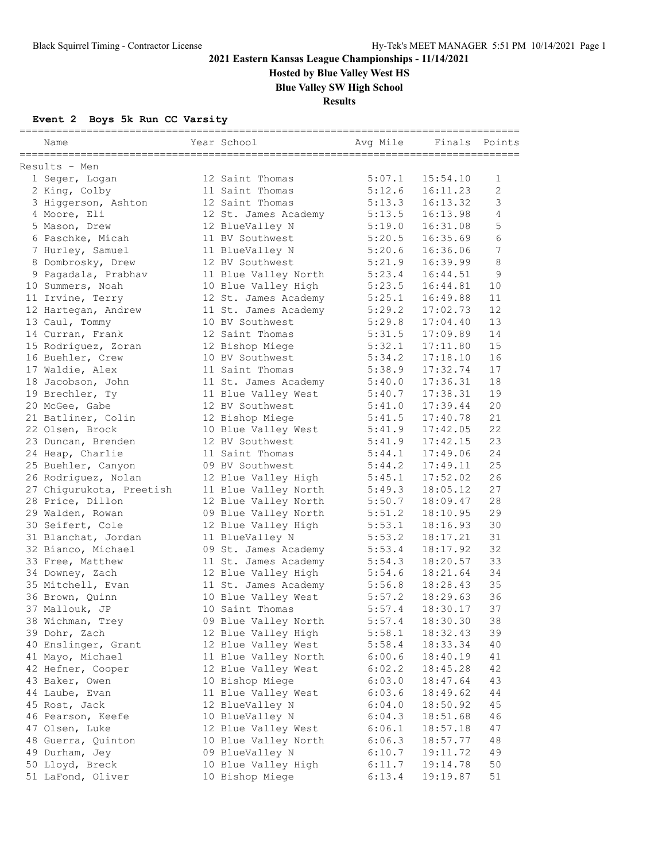**Hosted by Blue Valley West HS**

**Blue Valley SW High School**

**Results**

### **Event 2 Boys 5k Run CC Varsity**

| Name                     | Year School          | Avg Mile | Finals Points |                |
|--------------------------|----------------------|----------|---------------|----------------|
| Results - Men            |                      |          |               |                |
| 1 Seger, Logan           | 12 Saint Thomas      | 5:07.1   | 15:54.10      | 1              |
| 2 King, Colby            | 11 Saint Thomas      | 5:12.6   | 16:11.23      | $\overline{2}$ |
| 3 Higgerson, Ashton      | 12 Saint Thomas      | 5:13.3   | 16:13.32      | 3              |
| 4 Moore, Eli             | 12 St. James Academy | 5:13.5   | 16:13.98      | 4              |
| 5 Mason, Drew            | 12 BlueValley N      | 5:19.0   | 16:31.08      | 5              |
| 6 Paschke, Micah         | 11 BV Southwest      | 5:20.5   | 16:35.69      | 6              |
| 7 Hurley, Samuel         | 11 BlueValley N      | 5:20.6   | 16:36.06      | 7              |
| 8 Dombrosky, Drew        | 12 BV Southwest      | 5:21.9   | 16:39.99      | 8              |
| 9 Pagadala, Prabhav      | 11 Blue Valley North | 5:23.4   | 16:44.51      | 9              |
| 10 Summers, Noah         | 10 Blue Valley High  | 5:23.5   | 16:44.81      | 10             |
| 11 Irvine, Terry         | 12 St. James Academy | 5:25.1   | 16:49.88      | 11             |
| 12 Hartegan, Andrew      | 11 St. James Academy | 5:29.2   | 17:02.73      | 12             |
| 13 Caul, Tommy           | 10 BV Southwest      | 5:29.8   | 17:04.40      | 13             |
| 14 Curran, Frank         | 12 Saint Thomas      | 5:31.5   | 17:09.89      | 14             |
| 15 Rodriguez, Zoran      | 12 Bishop Miege      | 5:32.1   | 17:11.80      | 15             |
| 16 Buehler, Crew         | 10 BV Southwest      | 5:34.2   | 17:18.10      | 16             |
| 17 Waldie, Alex          | 11 Saint Thomas      | 5:38.9   | 17:32.74      | 17             |
| 18 Jacobson, John        | 11 St. James Academy | 5:40.0   | 17:36.31      | 18             |
| 19 Brechler, Tv          | 11 Blue Valley West  | 5:40.7   | 17:38.31      | 19             |
| 20 McGee, Gabe           | 12 BV Southwest      | 5:41.0   | 17:39.44      | 20             |
| 21 Batliner, Colin       | 12 Bishop Miege      | 5:41.5   | 17:40.78      | 21             |
| 22 Olsen, Brock          | 10 Blue Valley West  | 5:41.9   | 17:42.05      | 22             |
| 23 Duncan, Brenden       | 12 BV Southwest      | 5:41.9   | 17:42.15      | 23             |
| 24 Heap, Charlie         | 11 Saint Thomas      | 5:44.1   | 17:49.06      | 24             |
| 25 Buehler, Canyon       | 09 BV Southwest      | 5:44.2   | 17:49.11      | 25             |
| 26 Rodriguez, Nolan      | 12 Blue Valley High  | 5:45.1   | 17:52.02      | 26             |
| 27 Chigurukota, Preetish | 11 Blue Valley North | 5:49.3   | 18:05.12      | 27             |
| 28 Price, Dillon         | 12 Blue Valley North | 5:50.7   | 18:09.47      | 28             |
| 29 Walden, Rowan         | 09 Blue Valley North | 5:51.2   | 18:10.95      | 29             |
| 30 Seifert, Cole         | 12 Blue Valley High  | 5:53.1   | 18:16.93      | 30             |
| 31 Blanchat, Jordan      | 11 BlueValley N      | 5:53.2   | 18:17.21      | 31             |
| 32 Bianco, Michael       | 09 St. James Academy | 5:53.4   | 18:17.92      | 32             |
| 33 Free, Matthew         | 11 St. James Academy | 5:54.3   | 18:20.57      | 33             |
| 34 Downey, Zach          | 12 Blue Valley High  | 5:54.6   | 18:21.64      | 34             |
| 35 Mitchell, Evan        | 11 St. James Academy | 5:56.8   | 18:28.43      | 35             |
| 36 Brown, Quinn          | 10 Blue Valley West  | 5:57.2   | 18:29.63      | 36             |
| 37 Mallouk, JP           | 10 Saint Thomas      | 5:57.4   | 18:30.17      | 37             |
| 38 Wichman, Trey         | 09 Blue Valley North | 5:57.4   | 18:30.30      | 38             |
| 39 Dohr, Zach            | 12 Blue Valley High  | 5:58.1   | 18:32.43      | 39             |
| 40 Enslinger, Grant      | 12 Blue Valley West  | 5:58.4   | 18:33.34      | 40             |
| 41 Mayo, Michael         | 11 Blue Valley North | 6:00.6   | 18:40.19      | 41             |
| 42 Hefner, Cooper        | 12 Blue Valley West  | 6:02.2   | 18:45.28      | 42             |
| 43 Baker, Owen           | 10 Bishop Miege      | 6:03.0   | 18:47.64      | 43             |
| 44 Laube, Evan           | 11 Blue Valley West  | 6:03.6   | 18:49.62      | 44             |
| 45 Rost, Jack            | 12 BlueValley N      | 6:04.0   | 18:50.92      | 45             |
| 46 Pearson, Keefe        | 10 BlueValley N      | 6:04.3   | 18:51.68      | 46             |
| 47 Olsen, Luke           | 12 Blue Valley West  | 6:06.1   | 18:57.18      | 47             |
| 48 Guerra, Quinton       | 10 Blue Valley North | 6:06.3   | 18:57.77      | 48             |
| 49 Durham, Jey           | 09 BlueValley N      | 6:10.7   | 19:11.72      | 49             |
| 50 Lloyd, Breck          | 10 Blue Valley High  | 6:11.7   | 19:14.78      | 50             |
| 51 LaFond, Oliver        | 10 Bishop Miege      | 6:13.4   | 19:19.87      | 51             |